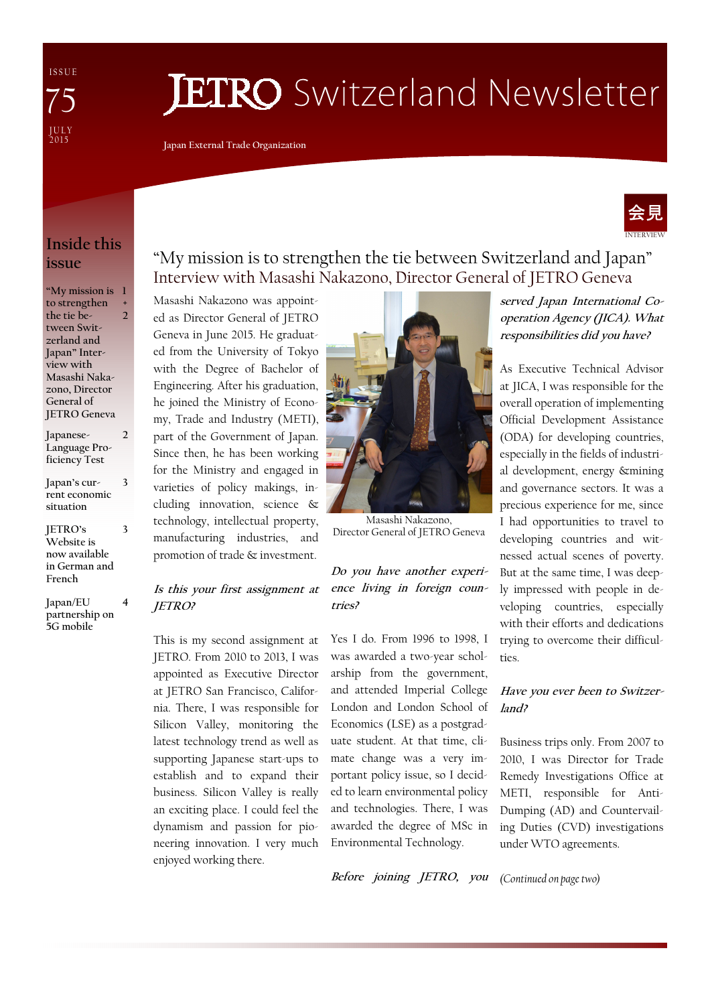I S S U E J U L Y<br>2015 75

# **JETRO** Switzerland Newsletter

**Japan External Trade Organization** 



## **Inside this issue**

**"My mission is 1 to strengthen the tie between Switzerland and Japan" Interview with Masashi Nakazono, Director General of JETRO Geneva + 2** 

**Japanese-Language Proficiency Test 2** 

**Japan's current economic situation** 

**3** 

**3** 

**JETRO's Website is now available in German and French** 

**Japan/EU partnership on 5G mobile 4** 

## "My mission is to strengthen the tie between Switzerland and Japan" Interview with Masashi Nakazono, Director General of JETRO Geneva

Masashi Nakazono was appointed as Director General of JETRO Geneva in June 2015. He graduated from the University of Tokyo with the Degree of Bachelor of Engineering. After his graduation, he joined the Ministry of Economy, Trade and Industry (METI), part of the Government of Japan. Since then, he has been working for the Ministry and engaged in varieties of policy makings, including innovation, science & technology, intellectual property, manufacturing industries, and promotion of trade & investment.

### **Is this your first assignment at JETRO?**

This is my second assignment at JETRO. From 2010 to 2013, I was appointed as Executive Director at JETRO San Francisco, California. There, I was responsible for Silicon Valley, monitoring the latest technology trend as well as supporting Japanese start-ups to establish and to expand their business. Silicon Valley is really an exciting place. I could feel the dynamism and passion for pioneering innovation. I very much enjoyed working there.



Director General of JETRO Geneva

### **Do you have another experience living in foreign countries?**

Yes I do. From 1996 to 1998, I was awarded a two-year scholarship from the government, and attended Imperial College London and London School of Economics (LSE) as a postgraduate student. At that time, climate change was a very important policy issue, so I decided to learn environmental policy and technologies. There, I was awarded the degree of MSc in Environmental Technology.

**served Japan International Cooperation Agency (JICA). What responsibilities did you have?** 

As Executive Technical Advisor at JICA, I was responsible for the overall operation of implementing Official Development Assistance (ODA) for developing countries, especially in the fields of industrial development, energy &mining and governance sectors. It was a precious experience for me, since I had opportunities to travel to developing countries and witnessed actual scenes of poverty. But at the same time, I was deeply impressed with people in developing countries, especially with their efforts and dedications trying to overcome their difficulties.

### **Have you ever been to Switzerland?**

Business trips only. From 2007 to 2010, I was Director for Trade Remedy Investigations Office at METI, responsible for Anti-Dumping (AD) and Countervailing Duties (CVD) investigations under WTO agreements.

*(Continued on page two)*  **Before joining JETRO, you**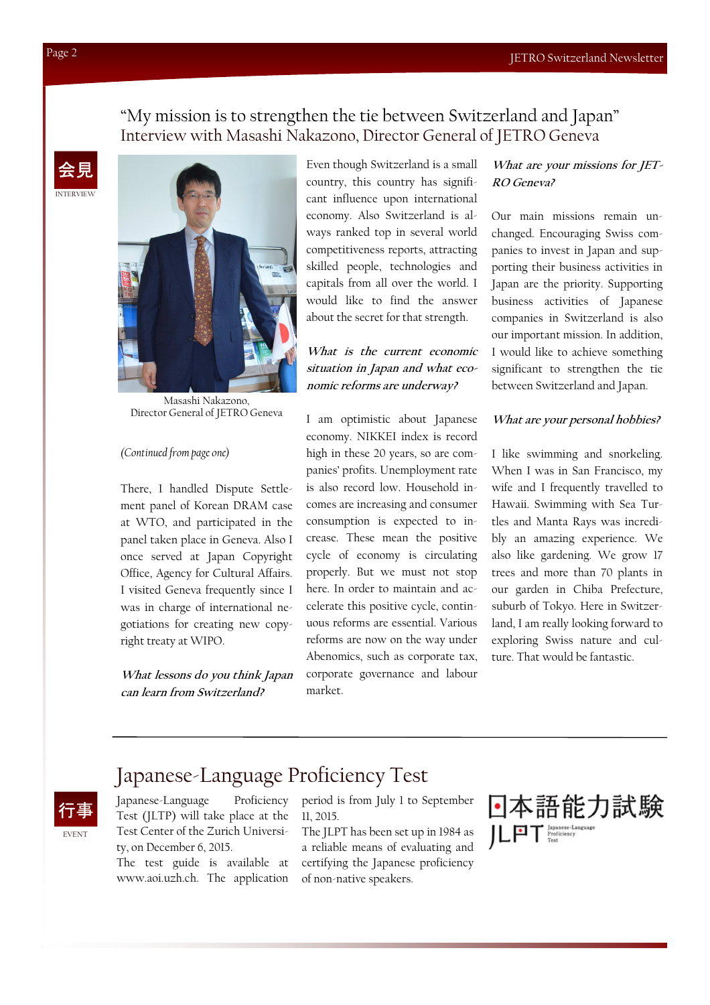### "My mission is to strengthen the tie between Switzerland and Japan" Interview with Masashi Nakazono, Director General of JETRO Geneva





Masashi Nakazono, Director General of JETRO Geneva

### *(Continued from page one)*

There, I handled Dispute Settlement panel of Korean DRAM case at WTO, and participated in the panel taken place in Geneva. Also I once served at Japan Copyright Office, Agency for Cultural Affairs. I visited Geneva frequently since I was in charge of international negotiations for creating new copyright treaty at WIPO.

**What lessons do you think Japan can learn from Switzerland?** 

Even though Switzerland is a small country, this country has significant influence upon international economy. Also Switzerland is always ranked top in several world competitiveness reports, attracting skilled people, technologies and capitals from all over the world. I would like to find the answer about the secret for that strength.

**What is the current economic situation in Japan and what economic reforms are underway?** 

I am optimistic about Japanese economy. NIKKEI index is record high in these 20 years, so are companies' profits. Unemployment rate is also record low. Household incomes are increasing and consumer consumption is expected to increase. These mean the positive cycle of economy is circulating properly. But we must not stop here. In order to maintain and accelerate this positive cycle, continuous reforms are essential. Various reforms are now on the way under Abenomics, such as corporate tax, corporate governance and labour market.

### **What are your missions for JET-RO Geneva?**

Our main missions remain unchanged. Encouraging Swiss companies to invest in Japan and supporting their business activities in Japan are the priority. Supporting business activities of Japanese companies in Switzerland is also our important mission. In addition, I would like to achieve something significant to strengthen the tie between Switzerland and Japan.

### **What are your personal hobbies?**

I like swimming and snorkeling. When I was in San Francisco, my wife and I frequently travelled to Hawaii. Swimming with Sea Turtles and Manta Rays was incredibly an amazing experience. We also like gardening. We grow 17 trees and more than 70 plants in our garden in Chiba Prefecture, suburb of Tokyo. Here in Switzerland, I am really looking forward to exploring Swiss nature and culture. That would be fantastic.

## Japanese-Language Proficiency Test



Japanese-Language Proficiency Test (JLTP) will take place at the Test Center of the Zurich University, on December 6, 2015.

The test guide is available at www.aoi.uzh.ch. The application

period is from July 1 to September 11, 2015.

The JLPT has been set up in 1984 as a reliable means of evaluating and certifying the Japanese proficiency of non-native speakers.

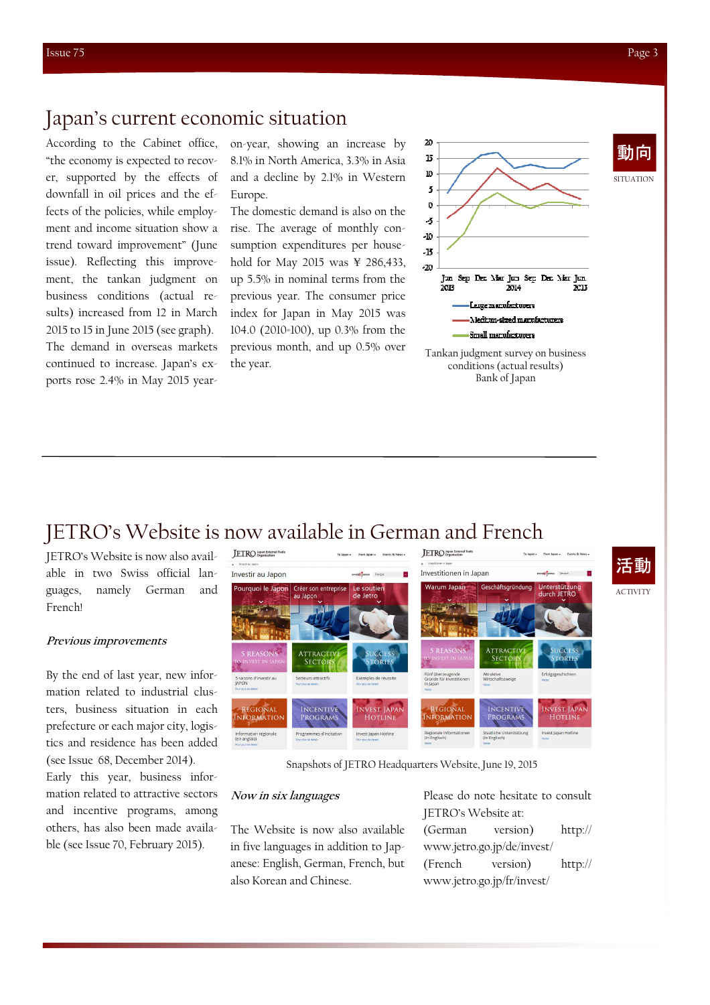**SITUATION** 

動向

## Japan's current economic situation

According to the Cabinet office, "the economy is expected to recover, supported by the effects of downfall in oil prices and the effects of the policies, while employment and income situation show a trend toward improvement" (June issue). Reflecting this improvement, the tankan judgment on business conditions (actual results) increased from 12 in March 2015 to 15 in June 2015 (see graph). The demand in overseas markets continued to increase. Japan's exports rose 2.4% in May 2015 yearon-year, showing an increase by 8.1% in North America, 3.3% in Asia and a decline by 2.1% in Western Europe.

The domestic demand is also on the rise. The average of monthly consumption expenditures per household for May 2015 was ¥ 286,433, up 5.5% in nominal terms from the previous year. The consumer price index for Japan in May 2015 was 104.0 (2010=100), up 0.3% from the previous month, and up 0.5% over the year.



Tankan judgment survey on business conditions (actual results) Bank of Japan

## JETRO's Website is now available in German and French

JETRO's Website is now also available in two Swiss official languages, namely German and French!

### **Previous improvements**

By the end of last year, new information related to industrial clusters, business situation in each prefecture or each major city, logistics and residence has been added (see Issue 68, December 2014). Early this year, business information related to attractive sectors and incentive programs, among others, has also been made available (see Issue 70, February 2015).



Snapshots of JETRO Headquarters Website, June 19, 2015

### **Now in six languages**

The Website is now also available in five languages in addition to Japanese: English, German, French, but also Korean and Chinese.

Please do note hesitate to consult JETRO's Website at: (German version) http:// www.jetro.go.jp/de/invest/ (French version) http:// www.jetro.go.jp/fr/invest/